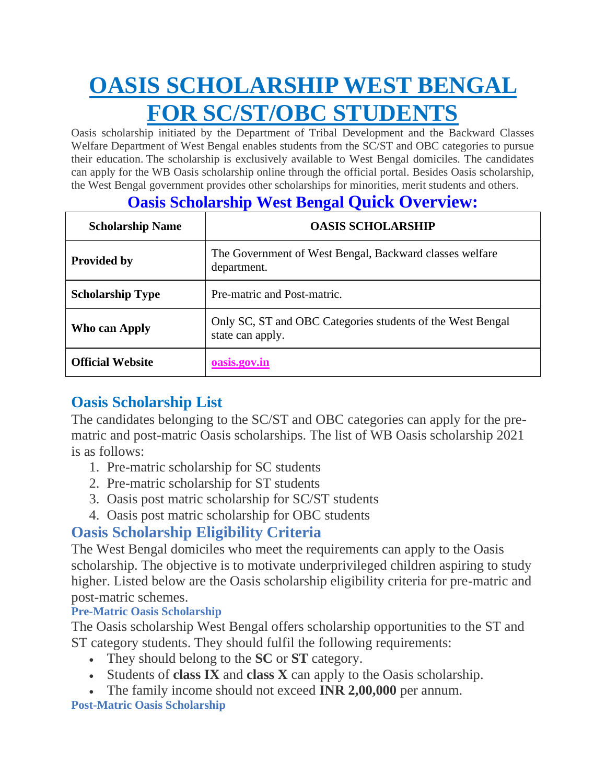# **OASIS SCHOLARSHIP WEST BENGAL FOR SC/ST/OBC STUDENTS**

Oasis scholarship initiated by the Department of Tribal Development and the Backward Classes Welfare Department of West Bengal enables students from the SC/ST and OBC categories to pursue their education. The scholarship is exclusively available to West Bengal domiciles. The candidates can apply for the WB Oasis scholarship online through the official portal. Besides Oasis scholarship, the West Bengal government provides other scholarships for minorities, merit students and others.

# **Oasis Scholarship West Bengal Quick Overview:**

| <b>Scholarship Name</b> | <b>OASIS SCHOLARSHIP</b>                                                       |  |
|-------------------------|--------------------------------------------------------------------------------|--|
| <b>Provided by</b>      | The Government of West Bengal, Backward classes welfare<br>department.         |  |
| <b>Scholarship Type</b> | Pre-matric and Post-matric.                                                    |  |
| Who can Apply           | Only SC, ST and OBC Categories students of the West Bengal<br>state can apply. |  |
| <b>Official Website</b> | oasis.gov.in                                                                   |  |

# **Oasis Scholarship List**

The candidates belonging to the SC/ST and OBC categories can apply for the prematric and post-matric Oasis scholarships. The list of WB Oasis scholarship 2021 is as follows:

- 1. Pre-matric scholarship for SC students
- 2. Pre-matric scholarship for ST students
- 3. Oasis post matric scholarship for SC/ST students
- 4. Oasis post matric scholarship for OBC students

# **Oasis Scholarship Eligibility Criteria**

The West Bengal domiciles who meet the requirements can apply to the Oasis scholarship. The objective is to motivate underprivileged children aspiring to study higher. Listed below are the Oasis scholarship eligibility criteria for pre-matric and post-matric schemes.

#### **Pre-Matric Oasis Scholarship**

The Oasis scholarship West Bengal offers scholarship opportunities to the ST and ST category students. They should fulfil the following requirements:

- They should belong to the **SC** or **ST** category.
- Students of **class IX** and **class X** can apply to the Oasis scholarship.
- The family income should not exceed **INR 2,00,000** per annum.

#### **Post-Matric Oasis Scholarship**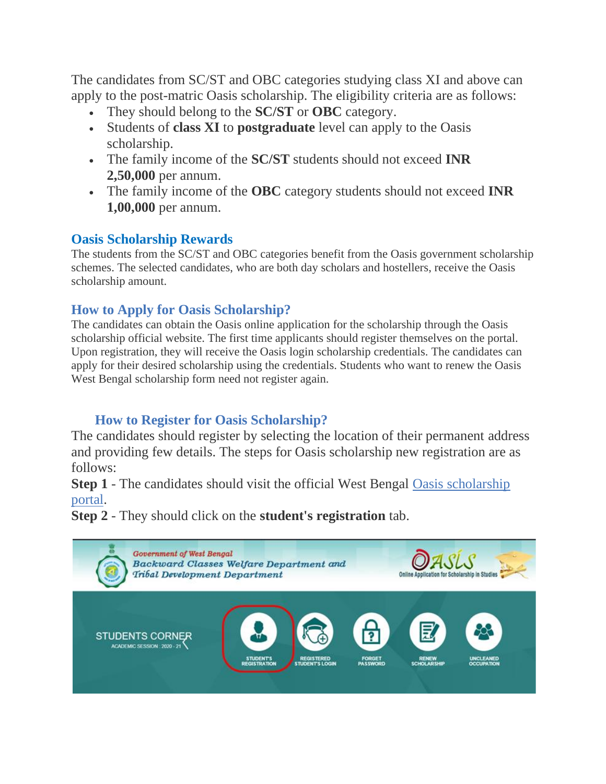The candidates from SC/ST and OBC categories studying class XI and above can apply to the post-matric Oasis scholarship. The eligibility criteria are as follows:

- They should belong to the **SC/ST** or **OBC** category.
- Students of **class XI** to **postgraduate** level can apply to the Oasis scholarship.
- The family income of the **SC/ST** students should not exceed **INR 2,50,000** per annum.
- The family income of the **OBC** category students should not exceed **INR 1,00,000** per annum.

## **Oasis Scholarship Rewards**

The students from the SC/ST and OBC categories benefit from the Oasis government scholarship schemes. The selected candidates, who are both day scholars and hostellers, receive the Oasis scholarship amount.

## **How to Apply for Oasis Scholarship?**

The candidates can obtain the Oasis online application for the scholarship through the Oasis scholarship official website. The first time applicants should register themselves on the portal. Upon registration, they will receive the Oasis login scholarship credentials. The candidates can apply for their desired scholarship using the credentials. Students who want to renew the Oasis West Bengal scholarship form need not register again.

## **How to Register for Oasis Scholarship?**

The candidates should register by selecting the location of their permanent address and providing few details. The steps for Oasis scholarship new registration are as follows:

**Step 1** - The candidates should visit the official West Bengal Oasis scholarship [portal.](https://oasis.gov.in/)

**Step 2** - They should click on the **student's registration** tab.